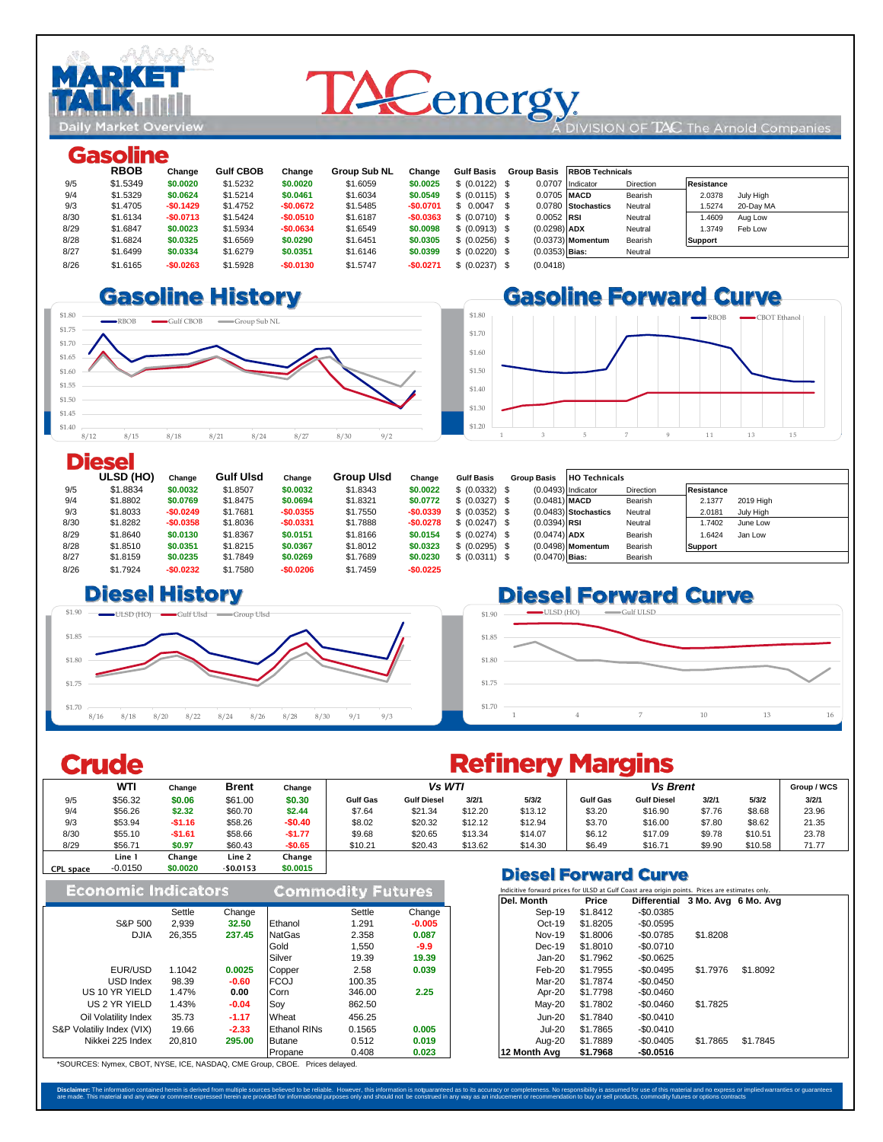

# **TACenergy**

#### DIVISION OF TAC The Arnold Companies

## Gasoline

|      | ----------- |            |                  |            |                     |            |                   |                  |                        |                  |                     |
|------|-------------|------------|------------------|------------|---------------------|------------|-------------------|------------------|------------------------|------------------|---------------------|
|      | <b>RBOB</b> | Change     | <b>Gulf CBOB</b> | Change     | <b>Group Sub NL</b> | Change     | <b>Gulf Basis</b> | Group Basis      | <b>RBOB Technicals</b> |                  |                     |
| 9/5  | \$1.5349    | \$0,0020   | \$1.5232         | \$0,0020   | \$1,6059            | \$0,0025   | \$ (0.0122) \$    |                  | 0.0707 Indicator       | <b>Direction</b> | Resistance          |
| 9/4  | \$1.5329    | \$0.0624   | \$1.5214         | \$0.0461   | \$1.6034            | \$0.0549   | \$ (0.0115) \$    | 0.0705 MACD      |                        | Bearish          | 2.0378<br>July High |
| 9/3  | \$1,4705    | $-$0.1429$ | \$1,4752         | $-$0.0672$ | \$1,5485            | $-$0.0701$ | $$0.0047$ \$      |                  | 0.0780 Stochastics     | Neutral          | .5274<br>20-Day MA  |
| 8/30 | \$1,6134    | $-$0.0713$ | \$1.5424         | $-$0.0510$ | \$1,6187            | $-$0.0363$ | \$ (0.0710) \$    | $0.0052$ RSI     |                        | Neutral          | .4609<br>Aug Low    |
| 8/29 | \$1.6847    | \$0.0023   | \$1,5934         | $-$0.0634$ | \$1,6549            | \$0,0098   | \$ (0.0913) \$    | $(0.0298)$ ADX   |                        | Neutral          | Feb Low<br>.3749    |
| 8/28 | \$1.6824    | \$0.0325   | \$1,6569         | \$0.0290   | \$1.6451            | \$0.0305   | \$ (0.0256) \$    |                  | $(0.0373)$ Momentum    | Bearish          | Support             |
| 8/27 | \$1,6499    | \$0.0334   | \$1,6279         | \$0.0351   | \$1.6146            | \$0.0399   | \$ (0.0220) \$    | $(0.0353)$ Bias: |                        | Neutral          |                     |
| 8/26 | \$1.6165    | $-$0.0263$ | \$1.5928         | $-$0.0130$ | \$1,5747            | $-$0.0271$ | \$ (0.0237) \$    | (0.0418)         |                        |                  |                     |
|      |             |            |                  |            |                     |            |                   |                  |                        |                  |                     |

#### 8/22 \$1.6675 **-\$0.0263 \$1.63 -\$0.0207** \$1.6272 **-\$0.0293 8.6938 \$1.666 \$1.666 \$1.666 \$1.666 \$1.666 \$1.666 \$1.681 \$1.681 \$1.681 \$1.681 \$1.682 \$1.6426 \$1.6426 \$1.681**





|      | vieser    |            |                  |            |                   |            |                   |                      |                        |           |                     |
|------|-----------|------------|------------------|------------|-------------------|------------|-------------------|----------------------|------------------------|-----------|---------------------|
|      | ULSD (HO) | Change     | <b>Gulf Ulsd</b> | Change     | <b>Group UIsd</b> | Change     | <b>Gulf Basis</b> | <b>Group Basis</b>   | <b>HO Technicals</b>   |           |                     |
| 9/5  | \$1.8834  | \$0,0032   | \$1,8507         | \$0.0032   | \$1,8343          | \$0,0022   | \$ (0.0332) \$    | $(0.0493)$ Indicator |                        | Direction | <b>Resistance</b>   |
| 9/4  | \$1,8802  | \$0,0769   | \$1,8475         | \$0.0694   | \$1.8321          | \$0,0772   | \$ (0.0327) \$    | $(0.0481)$ MACD      |                        | Bearish   | 2.1377<br>2019 High |
| 9/3  | \$1,8033  | $-$0.0249$ | \$1.7681         | $-$0.0355$ | \$1.7550          | $-$0.0339$ | \$ (0.0352) \$    |                      | $(0.0483)$ Stochastics | Neutral   | July High<br>2.0181 |
| 8/30 | \$1.8282  | $-$0.0358$ | \$1,8036         | $-$0.0331$ | \$1.7888          | -\$0.0278  | \$ (0.0247) \$    | $(0.0394)$ RSI       |                        | Neutral   | .7402<br>June Low   |
| 8/29 | \$1,8640  | \$0,0130   | \$1.8367         | \$0.0151   | \$1,8166          | \$0.0154   | \$ (0.0274) \$    | $(0.0474)$ ADX       |                        | Bearish   | 1.6424<br>Jan Low   |
| 8/28 | \$1,8510  | \$0.0351   | \$1,8215         | \$0.0367   | \$1.8012          | \$0.0323   | \$ (0.0295) \$    |                      | $(0.0498)$ Momentum    | Bearish   | <b>Support</b>      |
| 8/27 | \$1,8159  | \$0.0235   | \$1,7849         | \$0.0269   | \$1.7689          | \$0,0230   | \$ (0.0311) \$    | $(0.0470)$ Bias:     |                        | Bearish   |                     |
| 8/26 | \$1.7924  | $-$0.0232$ | \$1,7580         | $-$0.0206$ | \$1.7459          | $-$0.0225$ |                   |                      |                        |           |                     |

### $\square$  **Diesel History**



## **Diesel Forward Curve**



## **Crude**

**INFACAL** 

# **Refinery Margins**

|                  | <b>WTI</b> | Change   | <b>Brent</b> | Change   |                           | Vs WTI             |         | Group / WCS |                 |                    |        |         |       |  |
|------------------|------------|----------|--------------|----------|---------------------------|--------------------|---------|-------------|-----------------|--------------------|--------|---------|-------|--|
| 9/5              | \$56.32    | \$0.06   | \$61.00      | \$0.30   | <b>Gulf Gas</b>           | <b>Gulf Diesel</b> | 3/2/1   | 5/3/2       | <b>Gulf Gas</b> | <b>Gulf Diesel</b> | 3/2/1  | 5/3/2   | 3/2/1 |  |
| 9/4              | \$56.26    | \$2.32   | \$60.70      | \$2.44   | \$7.64                    | \$21.34            | \$12.20 | \$13.12     | \$3.20          | \$16.90            | \$7.76 | \$8.68  | 23.96 |  |
| 9/3              | \$53.94    | $-$1.16$ | \$58.26      | $-$0.40$ | \$8.02                    | \$20.32            | \$12.12 | \$12.94     | \$3.70          | \$16.00            | \$7.80 | \$8.62  | 21.35 |  |
| 8/30             | \$55.10    | $-$1.61$ | \$58.66      | $-$1.77$ | \$9.68                    | \$20.65            | \$13.34 | \$14.07     | \$6.12          | \$17.09            | \$9.78 | \$10.51 | 23.78 |  |
| 8/29             | \$56.71    | \$0.97   | \$60.43      | -\$0.65  | \$10.21                   | \$20.43            | \$13.62 | \$14.30     | \$6.49          | \$16.71            | \$9.90 | \$10.58 | 71.77 |  |
|                  | Line 1     | Change   | Line 2       | Change   |                           |                    |         |             |                 |                    |        |         |       |  |
| <b>CPL</b> space | $-0.0150$  | \$0.0020 | $-50.0153$   | \$0.0015 | <b>Black Founded Arms</b> |                    |         |             |                 |                    |        |         |       |  |

|                            |        |         |                          |        |          | <b>PICSCIFUI WEI U CHI VC</b>                                                                   |          |                                 |          |          |  |  |
|----------------------------|--------|---------|--------------------------|--------|----------|-------------------------------------------------------------------------------------------------|----------|---------------------------------|----------|----------|--|--|
| <b>Economic Indicators</b> |        |         | <b>Commodity Futures</b> |        |          | Indicitive forward prices for ULSD at Gulf Coast area origin points. Prices are estimates only. |          |                                 |          |          |  |  |
|                            |        |         |                          |        |          | Del. Month                                                                                      | Price    | Differential 3 Mo. Avg 6 Mo. Av |          |          |  |  |
|                            | Settle | Change  |                          | Settle | Change   | Sep-19                                                                                          | \$1,8412 | $-$0.0385$                      |          |          |  |  |
| S&P 500                    | 2.939  | 32.50   | Ethanol                  | 1.291  | $-0.005$ | $Oct-19$                                                                                        | \$1.8205 | -\$0.0595                       |          |          |  |  |
| <b>DJIA</b>                | 26.355 | 237.45  | <b>NatGas</b>            | 2.358  | 0.087    | Nov-19                                                                                          | \$1,8006 | $-$0.0785$                      | \$1,8208 |          |  |  |
|                            |        |         | Gold                     | 1,550  | $-9.9$   | Dec-19                                                                                          | \$1,8010 | -\$0.0710                       |          |          |  |  |
|                            |        |         | Silver                   | 19.39  | 19.39    | Jan-20                                                                                          | \$1.7962 | -\$0.0625                       |          |          |  |  |
| EUR/USD                    | 1.1042 | 0.0025  | Copper                   | 2.58   | 0.039    | Feb-20                                                                                          | \$1.7955 | $-$0.0495$                      | \$1,7976 | \$1,8092 |  |  |
| USD Index                  | 98.39  | $-0.60$ | <b>FCOJ</b>              | 100.35 |          | Mar-20                                                                                          | \$1.7874 | $-$0.0450$                      |          |          |  |  |
| US 10 YR YIELD             | 1.47%  | 0.00    | Corn                     | 346.00 | 2.25     | Apr-20                                                                                          | \$1,7798 | $-$0.0460$                      |          |          |  |  |
| US 2 YR YIELD              | 1.43%  | $-0.04$ | Soy                      | 862.50 |          | May-20                                                                                          | \$1.7802 | -\$0.0460                       | \$1,7825 |          |  |  |
| Oil Volatility Index       | 35.73  | $-1.17$ | Wheat                    | 456.25 |          | $Jun-20$                                                                                        | \$1.7840 | $-$0.0410$                      |          |          |  |  |
| S&P Volatiliy Index (VIX)  | 19.66  | $-2.33$ | <b>Ethanol RINs</b>      | 0.1565 | 0.005    | <b>Jul-20</b>                                                                                   | \$1.7865 | $-$0.0410$                      |          |          |  |  |
| Nikkei 225 Index           | 20,810 | 295,00  | <b>Butane</b>            | 0.512  | 0.019    | Aug-20                                                                                          | \$1.7889 | -\$0.0405                       | \$1,7865 | \$1.7845 |  |  |
|                            |        |         | Propane                  | 0.408  | 0.023    | 12 Month Ava                                                                                    | \$1,7968 | $-$0.0516$                      |          |          |  |  |

#### **Diesel Forward Curve**

| Commodity Futures |        |          | Indicitive forward prices for ULSD at Gulf Coast area origin points. Prices are estimates only. |          |                                  |          |          |  |  |  |  |
|-------------------|--------|----------|-------------------------------------------------------------------------------------------------|----------|----------------------------------|----------|----------|--|--|--|--|
|                   |        |          | Del. Month                                                                                      | Price    | Differential 3 Mo. Avg 6 Mo. Avg |          |          |  |  |  |  |
|                   | Settle | Change   | Sep-19                                                                                          | \$1,8412 | -\$0.0385                        |          |          |  |  |  |  |
| Ethanol           | 1.291  | $-0.005$ | $Oct-19$                                                                                        | \$1,8205 | -\$0.0595                        |          |          |  |  |  |  |
| NatGas            | 2.358  | 0.087    | Nov-19                                                                                          | \$1,8006 | -\$0.0785                        | \$1,8208 |          |  |  |  |  |
| Gold              | 1.550  | $-9.9$   | $Dec-19$                                                                                        | \$1,8010 | $-$0.0710$                       |          |          |  |  |  |  |
| Silver            | 19.39  | 19.39    | Jan-20                                                                                          | \$1.7962 | -\$0.0625                        |          |          |  |  |  |  |
| Copper            | 2.58   | 0.039    | Feb-20                                                                                          | \$1.7955 | -\$0.0495                        | \$1,7976 | \$1,8092 |  |  |  |  |
| FCOJ              | 100.35 |          | Mar-20                                                                                          | \$1,7874 | -\$0.0450                        |          |          |  |  |  |  |
| Corn              | 346.00 | 2.25     | Apr-20                                                                                          | \$1,7798 | -\$0.0460                        |          |          |  |  |  |  |
| Sov               | 862.50 |          | $May-20$                                                                                        | \$1,7802 | -\$0.0460                        | \$1,7825 |          |  |  |  |  |
| Wheat             | 456.25 |          | Jun-20                                                                                          | \$1,7840 | $-$0.0410$                       |          |          |  |  |  |  |
| Ethanol RINs      | 0.1565 | 0.005    | Jul-20                                                                                          | \$1.7865 | $-$0.0410$                       |          |          |  |  |  |  |
| Butane            | 0.512  | 0.019    | Aug-20                                                                                          | \$1.7889 | -\$0.0405                        | \$1,7865 | \$1.7845 |  |  |  |  |
| Propane           | 0.408  | 0.023    | 12 Month Ava                                                                                    | \$1,7968 | -\$0.0516                        |          |          |  |  |  |  |

\*SOURCES: Nymex, CBOT, NYSE, ICE, NASDAQ, CME Group, CBOE. Prices delayed.

Disclaimer: The information contained herein is derived from multiple sources believed to be reliable. However, this information is notgaranted as to its accuracy or completeness. No responsibility is assumed for exponsion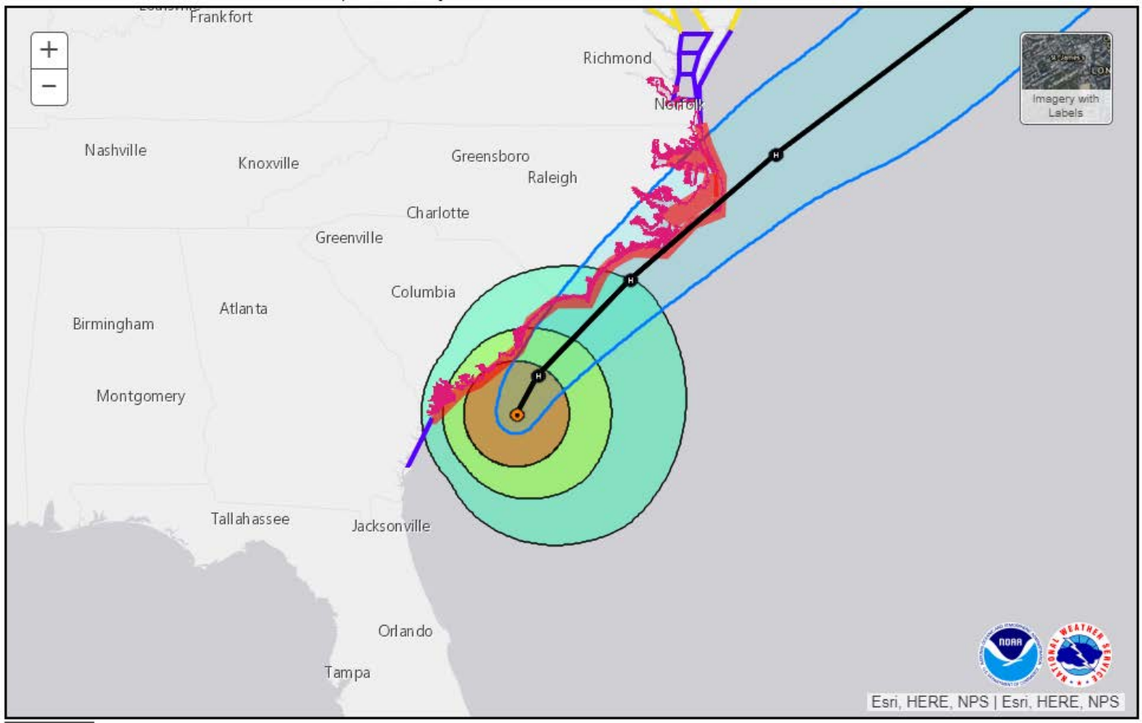